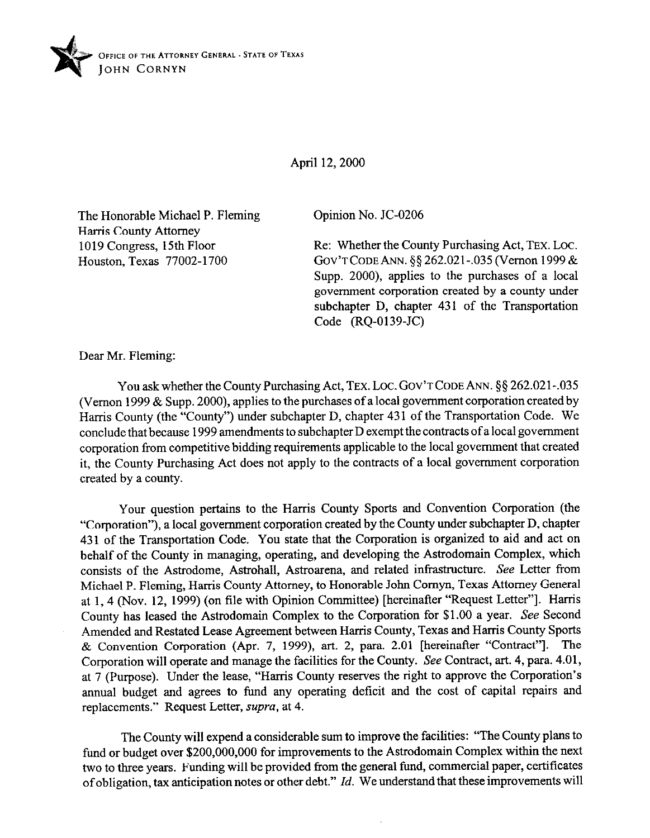

April 12,200O

The Honorable Michael P. Fleming Harris County Attorney 1019 Congress, 15th Floor Houston, Texas 77002-1700

Opinion No. JC-0206

Re: Whether the County Purchasing Act, TEX. Loc. GOV'T CODE ANN. §§ 262.021-.035 (Vernon 1999 & Supp. 2000), applies to the purchases of a local government corporation created by a county under subchapter D, chapter 431 of the Transportation Code (RQ-0139-JC)

Dear Mr. Fleming:

You ask whether the County Purchasing Act, TEX. LOC. GOV'T CODE ANN. §§ 262.021-.035 (Vernon 1999 & Supp. 2000), applies to the purchases of a local government corporation created by Harris County (the "County") under subchapter D, chapter 431 of the Transportation Code. We conclude that because 1999 amendments to subchapter D exempt the contracts of a local government corporation from competitive bidding requirements applicable to the local government that created it, the County Purchasing Act does not apply to the contracts of a local government corporation created by a county.

Your question pertains to the Harris County Sports and Convention Corporation (the "Corporation"), a local government corporation created by the County under subchapter D, chapter 431 of the Transportation Code. You state that the Corporation is organized to aid and act on behalf of the County in managing, operating, and developing the Astrodomain Complex, which consists of the Astrodome, Astrohall, Astroarena, and related infrastructure. See Letter from Michael P. Fleming, Harris County Attorney, to Honorable John Comyn, Texas Attorney General at 1,4 (Nov. 12, 1999) (on file with Opinion Committee) [hereinafter "Request Letter"]. Harris County has leased the Astrodomain Complex to the Corporation for \$1.00 a year. See Second Amended and Restated Lease Agreement between Harris County, Texas and Harris County Sports & Convention Corporation (Apr. 7, 1999), art. 2, para. 2.01 [hereinafter "Contract"]. The Corporation will operate and manage the facilities for the County. See Contract, art. 4, para. 4.01, at 7 (Purpose). Under the lease, "Harris County reserves the right to approve the Corporation's annual budget and agrees to fund any operating deficit and the cost of capital repairs and replacements." Request Letter, supra, at 4.

The County will expend a considerable sum to improve the facilities: "The County plans to fund or budget over \$200,000,000 for improvements to the Astrodomain Complex within the next two to three years. Funding will be provided from the general fund, commercial paper, certificates of obligation, tax anticipation notes or other debt." *Id.* We understand that these improvements will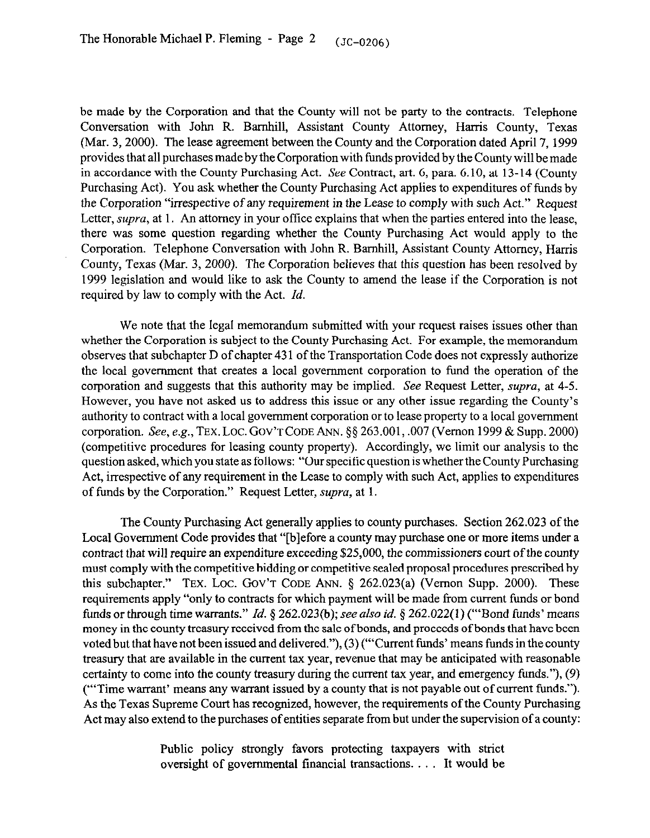be made by the Corporation and that the County will not be party to the contracts. Telephone Conversation with John R. Barnhill, Assistant County Attorney, Harris County, Texas (Mar. 3,200O). The lease agreement between the County and the Corporation dated April 7,1999 provides that all purchases made by the Corporation with funds provided by the County will be made in accordance with the County Purchasing Act. See Contract, art. 6, para. 6.10, at 13-14 (County Purchasing Act). You ask whether the County Purchasing Act applies to expenditures of funds by the Corporation "irrespective of any requirement in the Lease to comply with such Act." Request Letter, *supra*, at 1. An attorney in your office explains that when the parties entered into the lease, there was some question regarding whether the County Purchasing Act would apply to the Corporation. Telephone Conversation with John R. Barnhill, Assistant County Attorney, Harris County, Texas (Mar. 3, 2000). The Corporation believes that this question has been resolved by 1999 legislation and would like to ask the County to amend the lease if the Corporation is not required by law to comply with the Act. *Id.* 

We note that the legal memorandum submitted with your request raises issues other than whether the Corporation is subject to the County Purchasing Act. For example, the memorandum observes that subchapter D of chapter 43 1 of the Transportation Code does not expressly authorize the local government that creates a local government corporation to fund the operation of the corporation and suggests that this authority may be implied. See Request Letter, supra, at 4-5. However, you have not asked us to address this issue or any other issue regarding the County's authority to contract with a local government corporation or to lease property to a local government corporation. See, e.g., TEX.LOC. GOV'TCODE ANN. \$5 263.001, ,007 (Vernon 1999 & Supp. 2000) (competitive procedures for leasing county property). Accordingly, we limit our analysis to the question asked, which you state as follows: "Our specific question is whether the County Purchasing Act, irrespective of any requirement in the Lease to comply with such Act, applies to expenditures of funds by the Corporation." Request Letter, supra, at 1.

The County Purchasing Act generally applies to county purchases. Section 262.023 of the Local Government Code provides that "[blefore a county may purchase one or more items under a contract that will require an expenditure exceeding \$25,000, the commissioners court of the county must comply with the competitive bidding or competitive sealed proposal procedures prescribed by this subchapter." TEX. LOC. GOV'T CODE ANN.  $\S$  262.023(a) (Vernon Supp. 2000). These requirements apply "only to contracts for which payment will be made from current funds or bond funds or through time warrants." *Id.* § 262.023(b); see also *id.* § 262.022(1) ("Bond funds' means money in the county treasury received from the sale of bonds, and proceeds of bonds that have been voted but that have not been issued and delivered."), (3) ("'Current funds' means funds in the county treasury that are available in the current tax year, revenue that may be anticipated with reasonable certainty to come into the county treasury during the current tax year, and emergency funds."), (9) ("'Time warrant' means any warrant issued by a county that is not payable out of current funds."). As the Texas Supreme Court has recognized, however, the requirements of the County Purchasing Act may also extend to the purchases of entities separate from but under the supervision of a county:

> Public policy strongly favors protecting taxpayers with strict oversight of governmental financial transactions. . It would be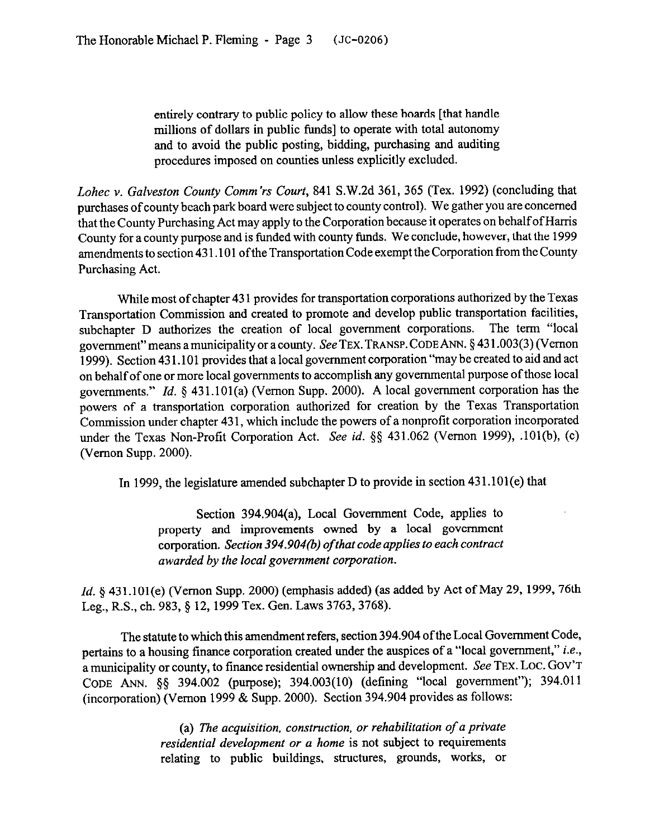entirely contrary to public policy to allow these boards [that handle millions of dollars in public funds] to operate with total autonomy and to avoid the public posting, bidding, purchasing and auditing procedures imposed on counties unless explicitly excluded.

*Lohec* v. Galveston County Comm'rs Court, 841 S.W.2d 361, 365 (Tex. 1992) (concluding that purchases of county beach park board were subject to county control). We gather you are concerned that the County Purchasing Act may apply to the Corporation because it operates on behalf of Harris County for a county purpose and is funded with county funds. We conclude, however, that the 1999 amendments to section 43 1.101 ofthe Transportation Code exempt the Corporation from the County Purchasing Act.

While most of chapter 43 1 provides for transportation corporations authorized by the Texas Transportation Commission and created to promote and develop public transportation facilities, subchapter D authorizes the creation of local government corporations. The term "local government" means a municipality or a county. See TEX. TRANSP. CODE ANN. §431.003(3) (Vernon 1999). Section 43 1.101 provides that a local government corporation "may be created to aid and act on behalf of one or more local governments to accomplish any governmental purpose of those local governments." *Id.* § 431.101(a) (Vernon Supp. 2000). A local government corporation has the powers of a transportation corporation authorized for creation by the Texas Transportation Commission under chapter 43 1, which include the powers of a nonprofit corporation incorporated under the Texas Non-Profit Corporation Act. See *id.* \$5 431.062 (Vernon 1999), .101(b), (c) (Vernon Supp. 2000).

In 1999, the legislature amended subchapter D to provide in section 431.101(e) that

Section 394.904(a), Local Government Code, applies to property and improvements owned by a local government corporation. *Section 394.904(b) of that code applies to each contract awarded by the local government corporation.* 

*Id.* § 431.101(e) (Vernon Supp. 2000) (emphasis added) (as added by Act of May 29, 1999, 76th Leg., R.S., ch. 983, § 12, 1999 Tex. Gen. Laws 3763, 3768).

The statute to which this amendment refers, section 394.904 of the Local Government Code, pertains to a housing finance corporation created under the auspices of a "local government," *i.e.,*  a municipality or county, to finance residential ownership and development. See TEX. LoC. GOV'T CODE ANN. \$3 394.002 (purpose); 394.003(10) (defining "local government"); 394.011 (incorporation) (Vernon 1999 & Supp. 2000). Section 394.904 provides as follows:

> (a) *The acquisition, construction, or rehabilitation of a private residential development or* a *home* is not subject to requirements relating to public buildings, structures, grounds, works, or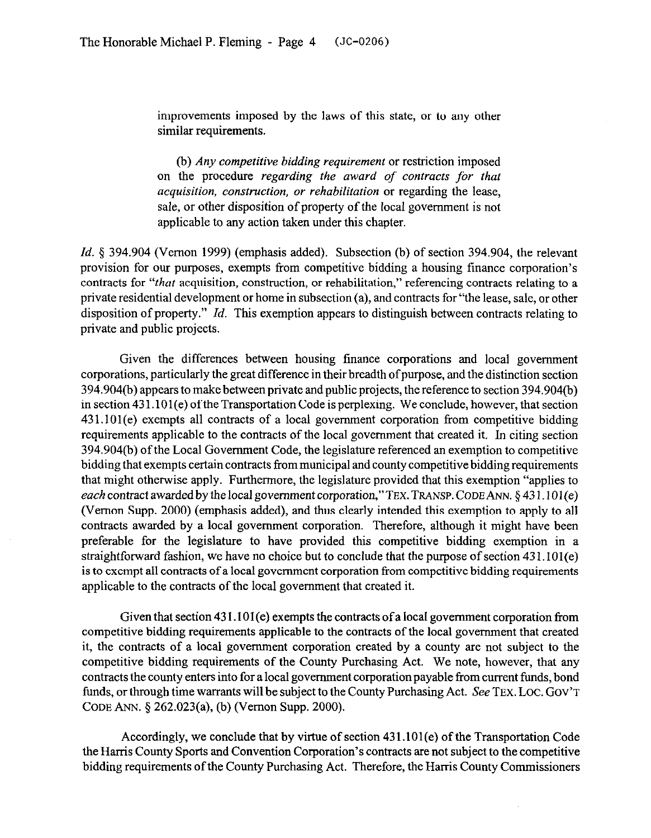improvements imposed by the laws of this state, or to any other similar requirements.

(b) *Any competitive bidding requirement* or restriction imposed on the procedure *regarding the award of contracts for that acquisition, construction, or rehabilitation* or regarding the lease, sale, or other disposition of property of the local government is not applicable to any action taken under this chapter.

*Id.* § 394.904 (Vernon 1999) (emphasis added). Subsection (b) of section 394.904, the relevant provision for our purposes, exempts from competitive bidding a housing finance corporation's contracts for *"that* acquisition, construction, or rehabilitation," referencing contracts relating to a private residential development or home in subsection (a), and contracts for "the lease, sale, or other disposition of property." *Id.* This exemption appears to distinguish between contracts relating to private and public projects.

Given the differences between housing finance corporations and local government corporations, particularly the great difference in their breadth of purpose, and the distinction section 394.904(b) appears to make between private and public projects, the reference to section 394.904(b) in section 43 1.101(e) ofthe Transportation Code is perplexing. We conclude, however, that section 431.101(e) exempts all contracts of a local government corporation from competitive bidding requirements applicable to the contracts of the local government that created it. In citing section 394.904(b) of the Local Government Code, the legislature referenced an exemption to competitive bidding that exempts certain contracts from municipal and county competitive bidding requirements that might otherwise apply. Furthermore, the legislature provided that this exemption "applies to *each* contract awarded by the local government corporation," TEX. TRANSP. CODE ANN. § 431.101(e) (Vernon Supp. 2000) (emphasis added), and thus clearly intended this exemption to apply to all contracts awarded by a local government corporation. Therefore, although it might have been preferable for the legislature to have provided this competitive bidding exemption in a straightforward fashion, we have no choice but to conclude that the purpose of section 431.101(e) is to exempt all contracts of a local government corporation from competitive bidding requirements applicable to the contracts of the local government that created it.

Given that section 431.101(e) exempts the contracts of a local government corporation from competitive bidding requirements applicable to the contracts of the local government that created it, the contracts of a local government corporation created by a county are not subject to the competitive bidding requirements of the County Purchasing Act. We note, however, that any contracts the county enters into for a local government corporation payable from current funds, bond funds, or through time warrants will be subject to the County Purchasing Act. See TEX. LOC. GOV'T CODE ANN. § 262.023(a), (b) (Vernon Supp. 2000).

Accordingly, we conclude that by virtue of section 431.101(e) of the Transportation Code the Harris County Sports and Convention Corporation's contracts are not subject to the competitive bidding requirements of the County Purchasing Act. Therefore, the Harris County Commissioners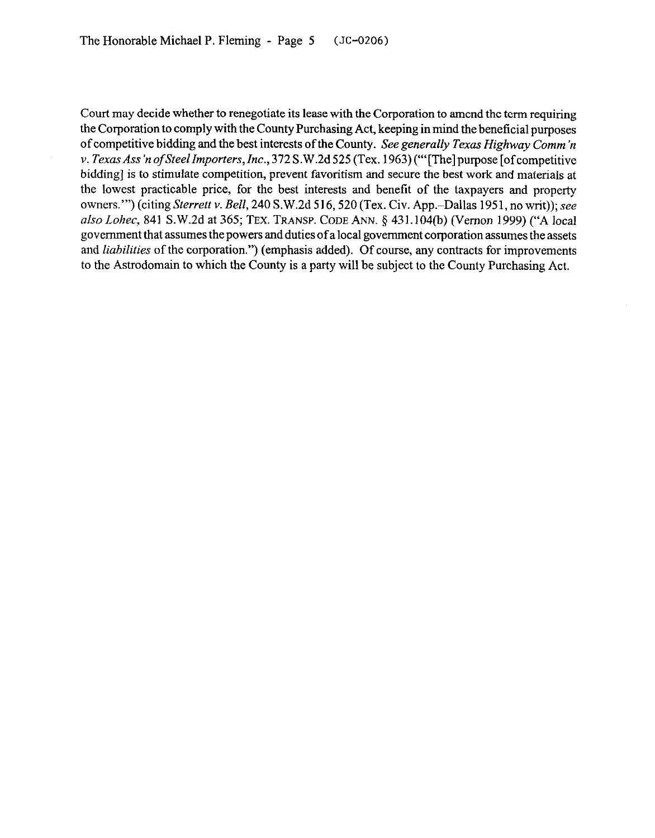Court may decide whether to renegotiate its lease with the Corporation to amend the term requiring the Corporation to comply with the County Purchasing Act, keeping in mind the beneficial purposes of competitive bidding and the best interests of *the County. See generally Texas Highway Comm 'n v. Texas Ass'n of Steel Importers, Inc., 372 S.W.2d 525 (Tex. 1963)* ("'[The] purpose [of competitive bidding] is to stimulate competition, prevent favoritism and secure the best work and materials at the lowest practicable price, for the best interests and benefit of the taxpayers and property owners."') (citing *Sterrett* v. *Bell,* 240 S.W.2d 516,520 (Tex. Civ. App.-Dallas 1951, no writ)); see also *Lohec,* 841 S. W.2d at 365; TEX. TRANSP. CODE ANN. 5 43 1.104(b) (Vernon 1999) ("A local government that assumes the powers and duties of a local government corporation assumes the assets and *liabilities* of the corporation.") (emphasis added). Of course, any contracts for improvements to the Astrodomain to which the County is a party will be subject to the County Purchasing Act.